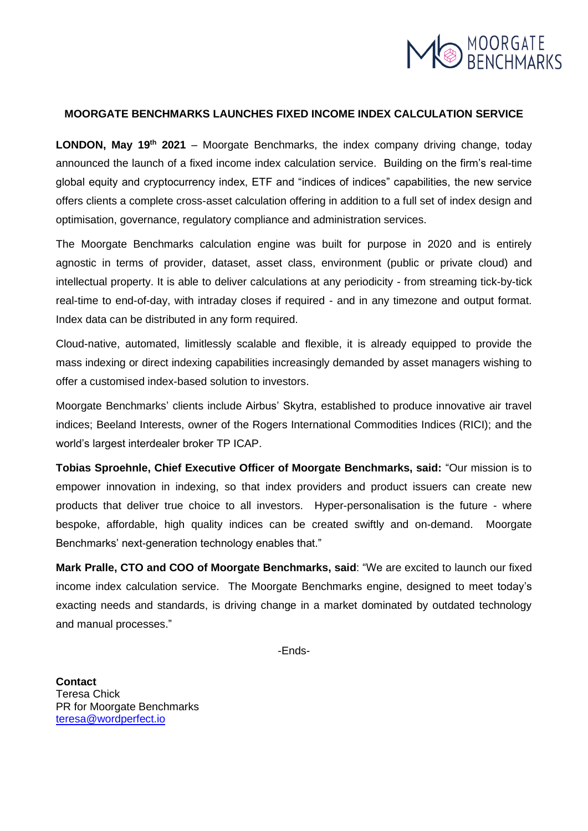

## **MOORGATE BENCHMARKS LAUNCHES FIXED INCOME INDEX CALCULATION SERVICE**

**LONDON, May 19<sup>th</sup> 2021** – Moorgate Benchmarks, the index company driving change, today announced the launch of a fixed income index calculation service. Building on the firm's real-time global equity and cryptocurrency index, ETF and "indices of indices" capabilities, the new service offers clients a complete cross-asset calculation offering in addition to a full set of index design and optimisation, governance, regulatory compliance and administration services.

The Moorgate Benchmarks calculation engine was built for purpose in 2020 and is entirely agnostic in terms of provider, dataset, asset class, environment (public or private cloud) and intellectual property. It is able to deliver calculations at any periodicity - from streaming tick-by-tick real-time to end-of-day, with intraday closes if required - and in any timezone and output format. Index data can be distributed in any form required.

Cloud-native, automated, limitlessly scalable and flexible, it is already equipped to provide the mass indexing or direct indexing capabilities increasingly demanded by asset managers wishing to offer a customised index-based solution to investors.

Moorgate Benchmarks' clients include Airbus' Skytra, established to produce innovative air travel indices; Beeland Interests, owner of the Rogers International Commodities Indices (RICI); and the world's largest interdealer broker TP ICAP.

**Tobias Sproehnle, Chief Executive Officer of Moorgate Benchmarks, said:** "Our mission is to empower innovation in indexing, so that index providers and product issuers can create new products that deliver true choice to all investors. Hyper-personalisation is the future - where bespoke, affordable, high quality indices can be created swiftly and on-demand. Moorgate Benchmarks' next-generation technology enables that."

**Mark Pralle, CTO and COO of Moorgate Benchmarks, said**: "We are excited to launch our fixed income index calculation service. The Moorgate Benchmarks engine, designed to meet today's exacting needs and standards, is driving change in a market dominated by outdated technology and manual processes."

-Ends-

**Contact** Teresa Chick PR for Moorgate Benchmarks [teresa@wordperfect.io](mailto:teresa@wordperfect.io)